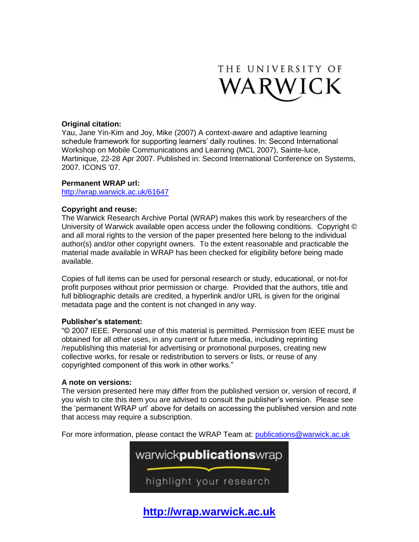

### **Original citation:**

Yau, Jane Yin-Kim and Joy, Mike (2007) A context-aware and adaptive learning schedule framework for supporting learners' daily routines. In: Second International Workshop on Mobile Communications and Learning (MCL 2007), Sainte-luce, Martinique, 22-28 Apr 2007. Published in: Second International Conference on Systems, 2007. ICONS '07.

#### **Permanent WRAP url:**

<http://wrap.warwick.ac.uk/61647>

#### **Copyright and reuse:**

The Warwick Research Archive Portal (WRAP) makes this work by researchers of the University of Warwick available open access under the following conditions. Copyright © and all moral rights to the version of the paper presented here belong to the individual author(s) and/or other copyright owners. To the extent reasonable and practicable the material made available in WRAP has been checked for eligibility before being made available.

Copies of full items can be used for personal research or study, educational, or not-for profit purposes without prior permission or charge. Provided that the authors, title and full bibliographic details are credited, a hyperlink and/or URL is given for the original metadata page and the content is not changed in any way.

#### **Publisher's statement:**

"© 2007 IEEE. Personal use of this material is permitted. Permission from IEEE must be obtained for all other uses, in any current or future media, including reprinting /republishing this material for advertising or promotional purposes, creating new collective works, for resale or redistribution to servers or lists, or reuse of any copyrighted component of this work in other works."

#### **A note on versions:**

The version presented here may differ from the published version or, version of record, if you wish to cite this item you are advised to consult the publisher's version. Please see the 'permanent WRAP url' above for details on accessing the published version and note that access may require a subscription.

For more information, please contact the WRAP Team at: [publications@warwick.ac.uk](mailto:publications@warwick.ac.uk)



**[http://wrap.warwick.ac.uk](http://wrap.warwick.ac.uk/)**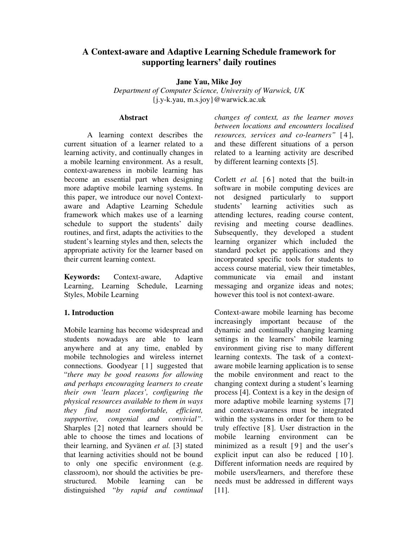# **A Context-aware and Adaptive Learning Schedule framework for supporting learners' daily routines**

**Jane Yau, Mike Joy** 

*Department of Computer Science, University of Warwick, UK*  {j.y-k.yau, m.s.joy}@warwick.ac.uk

#### **Abstract**

A learning context describes the current situation of a learner related to a learning activity, and continually changes in a mobile learning environment. As a result, context-awareness in mobile learning has become an essential part when designing more adaptive mobile learning systems. In this paper, we introduce our novel Contextaware and Adaptive Learning Schedule framework which makes use of a learning schedule to support the students' daily routines, and first, adapts the activities to the student's learning styles and then, selects the appropriate activity for the learner based on their current learning context.

**Keywords:** Context-aware, Adaptive Learning, Learning Schedule, Learning Styles, Mobile Learning

### **1. Introduction**

Mobile learning has become widespread and students nowadays are able to learn anywhere and at any time, enabled by mobile technologies and wireless internet connections. Goodyear [1] suggested that "*there may be good reasons for allowing and perhaps encouraging learners to create their own 'learn places', configuring the physical resources available to them in ways they find most comfortable, efficient, supportive, congenial and convivial"*. Sharples [2] noted that learners should be able to choose the times and locations of their learning, and Syvänen *et al.* [3] stated that learning activities should not be bound to only one specific environment (e.g. classroom), nor should the activities be prestructured. Mobile learning can be distinguished "*by rapid and continual*  *changes of context, as the learner moves between locations and encounters localised resources, services and co-learners"* [ 4 ], and these different situations of a person related to a learning activity are described by different learning contexts [5].

Corlett *et al.* [6] noted that the built-in software in mobile computing devices are not designed particularly to support students' learning activities such as attending lectures, reading course content, revising and meeting course deadlines. Subsequently, they developed a student learning organizer which included the standard pocket pc applications and they incorporated specific tools for students to access course material, view their timetables, communicate via email and instant messaging and organize ideas and notes; however this tool is not context-aware.

Context-aware mobile learning has become increasingly important because of the dynamic and continually changing learning settings in the learners' mobile learning environment giving rise to many different learning contexts. The task of a contextaware mobile learning application is to sense the mobile environment and react to the changing context during a student's learning process [4]. Context is a key in the design of more adaptive mobile learning systems [7] and context-awareness must be integrated within the systems in order for them to be truly effective [8]. User distraction in the mobile learning environment can be minimized as a result  $[9]$  and the user's explicit input can also be reduced [10]. Different information needs are required by mobile users/learners, and therefore these needs must be addressed in different ways [11].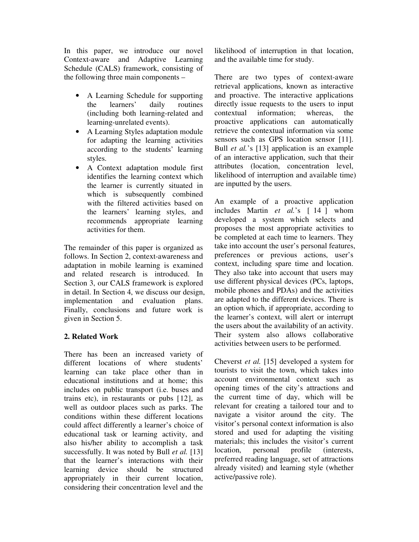In this paper, we introduce our novel Context-aware and Adaptive Learning Schedule (CALS) framework, consisting of the following three main components –

- A Learning Schedule for supporting the learners' daily routines (including both learning-related and learning-unrelated events).
- A Learning Styles adaptation module for adapting the learning activities according to the students' learning styles.
- A Context adaptation module first identifies the learning context which the learner is currently situated in which is subsequently combined with the filtered activities based on the learners' learning styles, and recommends appropriate learning activities for them.

The remainder of this paper is organized as follows. In Section 2, context-awareness and adaptation in mobile learning is examined and related research is introduced. In Section 3, our CALS framework is explored in detail. In Section 4, we discuss our design, implementation and evaluation plans. Finally, conclusions and future work is given in Section 5.

## **2. Related Work**

There has been an increased variety of different locations of where students' learning can take place other than in educational institutions and at home; this includes on public transport (i.e. buses and trains etc), in restaurants or pubs [12], as well as outdoor places such as parks. The conditions within these different locations could affect differently a learner's choice of educational task or learning activity, and also his/her ability to accomplish a task successfully. It was noted by Bull *et al.* [13] that the learner's interactions with their learning device should be structured appropriately in their current location, considering their concentration level and the

likelihood of interruption in that location, and the available time for study.

There are two types of context-aware retrieval applications, known as interactive and proactive. The interactive applications directly issue requests to the users to input contextual information; whereas, the proactive applications can automatically retrieve the contextual information via some sensors such as GPS location sensor [11]. Bull *et al.*'s [13] application is an example of an interactive application, such that their attributes (location, concentration level, likelihood of interruption and available time) are inputted by the users.

An example of a proactive application includes Martin *et al.*'s [ 14 ] whom developed a system which selects and proposes the most appropriate activities to be completed at each time to learners. They take into account the user's personal features, preferences or previous actions, user's context, including spare time and location. They also take into account that users may use different physical devices (PCs, laptops, mobile phones and PDAs) and the activities are adapted to the different devices. There is an option which, if appropriate, according to the learner's context, will alert or interrupt the users about the availability of an activity. Their system also allows collaborative activities between users to be performed.

Cheverst *et al.* [15] developed a system for tourists to visit the town, which takes into account environmental context such as opening times of the city's attractions and the current time of day, which will be relevant for creating a tailored tour and to navigate a visitor around the city. The visitor's personal context information is also stored and used for adapting the visiting materials; this includes the visitor's current location, personal profile (interests, preferred reading language, set of attractions already visited) and learning style (whether active/passive role).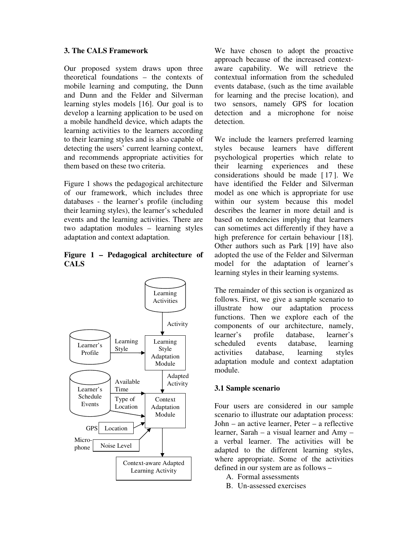### **3. The CALS Framework**

Our proposed system draws upon three theoretical foundations – the contexts of mobile learning and computing, the Dunn and Dunn and the Felder and Silverman learning styles models [16]. Our goal is to develop a learning application to be used on a mobile handheld device, which adapts the learning activities to the learners according to their learning styles and is also capable of detecting the users' current learning context, and recommends appropriate activities for them based on these two criteria.

Figure 1 shows the pedagogical architecture of our framework, which includes three databases - the learner's profile (including their learning styles), the learner's scheduled events and the learning activities. There are two adaptation modules – learning styles adaptation and context adaptation.

#### **Figure 1 – Pedagogical architecture of CALS**



We have chosen to adopt the proactive approach because of the increased contextaware capability. We will retrieve the contextual information from the scheduled events database, (such as the time available for learning and the precise location), and two sensors, namely GPS for location detection and a microphone for noise detection.

We include the learners preferred learning styles because learners have different psychological properties which relate to their learning experiences and these considerations should be made [ 17 ]. We have identified the Felder and Silverman model as one which is appropriate for use within our system because this model describes the learner in more detail and is based on tendencies implying that learners can sometimes act differently if they have a high preference for certain behaviour [18]. Other authors such as Park [19] have also adopted the use of the Felder and Silverman model for the adaptation of learner's learning styles in their learning systems.

The remainder of this section is organized as follows. First, we give a sample scenario to illustrate how our adaptation process functions. Then we explore each of the components of our architecture, namely, learner's profile database, learner's scheduled events database, learning activities database, learning styles adaptation module and context adaptation module.

## **3.1 Sample scenario**

Four users are considered in our sample scenario to illustrate our adaptation process: John – an active learner, Peter – a reflective learner, Sarah – a visual learner and Amy – a verbal learner. The activities will be adapted to the different learning styles, where appropriate. Some of the activities defined in our system are as follows –

- A. Formal assessments
- B. Un-assessed exercises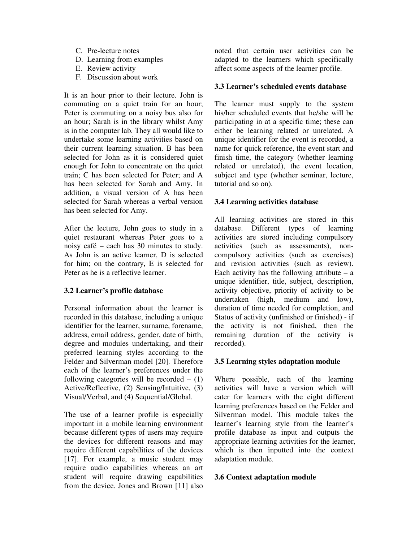- C. Pre-lecture notes
- D. Learning from examples
- E. Review activity
- F. Discussion about work

It is an hour prior to their lecture. John is commuting on a quiet train for an hour; Peter is commuting on a noisy bus also for an hour; Sarah is in the library whilst Amy is in the computer lab. They all would like to undertake some learning activities based on their current learning situation. B has been selected for John as it is considered quiet enough for John to concentrate on the quiet train; C has been selected for Peter; and A has been selected for Sarah and Amy. In addition, a visual version of A has been selected for Sarah whereas a verbal version has been selected for Amy.

After the lecture, John goes to study in a quiet restaurant whereas Peter goes to a noisy café – each has 30 minutes to study. As John is an active learner, D is selected for him; on the contrary, E is selected for Peter as he is a reflective learner.

#### **3.2 Learner's profile database**

Personal information about the learner is recorded in this database, including a unique identifier for the learner, surname, forename, address, email address, gender, date of birth, degree and modules undertaking, and their preferred learning styles according to the Felder and Silverman model [20]. Therefore each of the learner's preferences under the following categories will be recorded  $-$  (1) Active/Reflective, (2) Sensing/Intuitive, (3) Visual/Verbal, and (4) Sequential/Global.

The use of a learner profile is especially important in a mobile learning environment because different types of users may require the devices for different reasons and may require different capabilities of the devices [17]. For example, a music student may require audio capabilities whereas an art student will require drawing capabilities from the device. Jones and Brown [11] also

noted that certain user activities can be adapted to the learners which specifically affect some aspects of the learner profile.

### **3.3 Learner's scheduled events database**

The learner must supply to the system his/her scheduled events that he/she will be participating in at a specific time; these can either be learning related or unrelated. A unique identifier for the event is recorded, a name for quick reference, the event start and finish time, the category (whether learning related or unrelated), the event location, subject and type (whether seminar, lecture, tutorial and so on).

#### **3.4 Learning activities database**

All learning activities are stored in this database. Different types of learning activities are stored including compulsory activities (such as assessments), noncompulsory activities (such as exercises) and revision activities (such as review). Each activity has the following attribute  $-$  a unique identifier, title, subject, description, activity objective, priority of activity to be undertaken (high, medium and low), duration of time needed for completion, and Status of activity (unfinished or finished) - if the activity is not finished, then the remaining duration of the activity is recorded).

#### **3.5 Learning styles adaptation module**

Where possible, each of the learning activities will have a version which will cater for learners with the eight different learning preferences based on the Felder and Silverman model. This module takes the learner's learning style from the learner's profile database as input and outputs the appropriate learning activities for the learner, which is then inputted into the context adaptation module.

#### **3.6 Context adaptation module**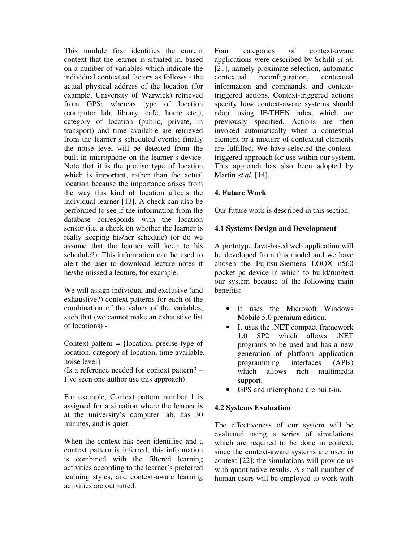This module first identifies the current context that the learner is situated in, based on a number of variables which indicate the individual contextual factors as follows - the actual physical address of the location (for example, University of Warwick) retrieved from GPS; whereas type of location (computer lab, library, café, home etc.), category of location (public, private, in transport) and time available are retrieved from the learner's scheduled events; finally the noise level will be detected from the built-in microphone on the learner's device. Note that it is the precise type of location which is important, rather than the actual location because the importance arises from the way this kind of location affects the individual learner [13]. A check can also be performed to see if the information from the database corresponds with the location sensor (i.e. a check on whether the learner is really keeping his/her schedule) (or do we assume that the learner will keep to his schedule?). This information can be used to alert the user to download lecture notes if he/she missed a lecture, for example.

We will assign individual and exclusive (and exhaustive?) context patterns for each of the combination of the values of the variables, such that (we cannot make an exhaustive list of locations) -

Context pattern  $=$  {location, precise type of location, category of location, time available, noise level}

(Is a reference needed for context pattern? – I've seen one author use this approach)

For example, Context pattern number 1 is assigned for a situation where the learner is at the university's computer lab, has 30 minutes, and is quiet.

When the context has been identified and a context pattern is inferred, this information is combined with the filtered learning activities according to the learner's preferred learning styles, and context-aware learning activities are outputted.

Four categories of context-aware applications were described by Schilit *et al.* [21], namely proximate selection, automatic contextual reconfiguration, contextual information and commands, and contexttriggered actions. Context-triggered actions specify how context-aware systems should adapt using IF-THEN rules, which are previously specified. Actions are then invoked automatically when a contextual element or a mixture of contextual elements are fulfilled. We have selected the contexttriggered approach for use within our system. This approach has also been adopted by Martin *et al.* [14].

## **4. Future Work**

Our future work is described in this section.

### **4.1 Systems Design and Development**

A prototype Java-based web application will be developed from this model and we have chosen the Fujitsu-Siemens LOOX n560 pocket pc device in which to build/run/test our system because of the following main benefits:

- It uses the Microsoft Windows Mobile 5.0 premium edition.
- It uses the .NET compact framework 1.0 SP2 which allows .NET programs to be used and has a new generation of platform application programming interfaces (APIs) which allows rich multimedia support.
- GPS and microphone are built-in.

## **4.2 Systems Evaluation**

The effectiveness of our system will be evaluated using a series of simulations which are required to be done in context, since the context-aware systems are used in context [22]; the simulations will provide us with quantitative results. A small number of human users will be employed to work with